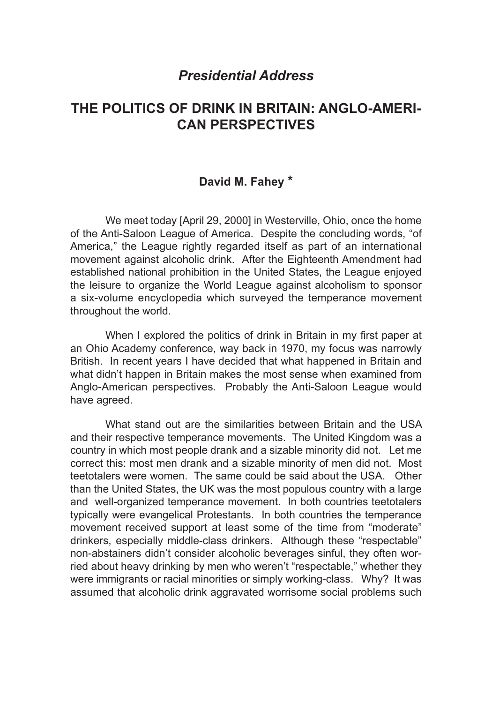## *Presidential Address*

# **THE POLITICS OF DRINK IN BRITAIN: ANGLO-AMERI-CAN PERSPECTIVES**

### **David M. Fahey \***

We meet today [April 29, 2000] in Westerville, Ohio, once the home of the Anti-Saloon League of America. Despite the concluding words, "of America," the League rightly regarded itself as part of an international movement against alcoholic drink. After the Eighteenth Amendment had established national prohibition in the United States, the League enjoyed the leisure to organize the World League against alcoholism to sponsor a six-volume encyclopedia which surveyed the temperance movement throughout the world.

When I explored the politics of drink in Britain in my first paper at an Ohio Academy conference, way back in 1970, my focus was narrowly British. In recent years I have decided that what happened in Britain and what didn't happen in Britain makes the most sense when examined from Anglo-American perspectives. Probably the Anti-Saloon League would have agreed.

What stand out are the similarities between Britain and the USA and their respective temperance movements. The United Kingdom was a country in which most people drank and a sizable minority did not. Let me correct this: most men drank and a sizable minority of men did not. Most teetotalers were women. The same could be said about the USA. Other than the United States, the UK was the most populous country with a large and well-organized temperance movement. In both countries teetotalers typically were evangelical Protestants. In both countries the temperance movement received support at least some of the time from "moderate" drinkers, especially middle-class drinkers. Although these "respectable" non-abstainers didn't consider alcoholic beverages sinful, they often worried about heavy drinking by men who weren't "respectable," whether they were immigrants or racial minorities or simply working-class. Why? It was assumed that alcoholic drink aggravated worrisome social problems such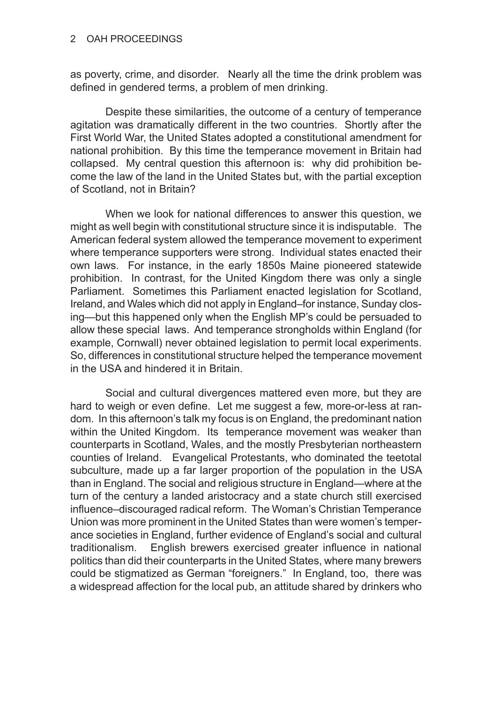#### OAH PROCEEDINGS

as poverty, crime, and disorder. Nearly all the time the drink problem was defined in gendered terms, a problem of men drinking.

Despite these similarities, the outcome of a century of temperance agitation was dramatically different in the two countries. Shortly after the First World War, the United States adopted a constitutional amendment for national prohibition. By this time the temperance movement in Britain had collapsed. My central question this afternoon is: why did prohibition become the law of the land in the United States but, with the partial exception of Scotland, not in Britain?

When we look for national differences to answer this question, we might as well begin with constitutional structure since it is indisputable. The American federal system allowed the temperance movement to experiment where temperance supporters were strong. Individual states enacted their own laws. For instance, in the early 1850s Maine pioneered statewide prohibition. In contrast, for the United Kingdom there was only a single Parliament. Sometimes this Parliament enacted legislation for Scotland, Ireland, and Wales which did not apply in England–for instance, Sunday closing—but this happened only when the English MP's could be persuaded to allow these special laws. And temperance strongholds within England (for example, Cornwall) never obtained legislation to permit local experiments. So, differences in constitutional structure helped the temperance movement in the USA and hindered it in Britain.

Social and cultural divergences mattered even more, but they are hard to weigh or even define. Let me suggest a few, more-or-less at random. In this afternoon's talk my focus is on England, the predominant nation within the United Kingdom. Its temperance movement was weaker than counterparts in Scotland, Wales, and the mostly Presbyterian northeastern counties of Ireland. Evangelical Protestants, who dominated the teetotal subculture, made up a far larger proportion of the population in the USA than in England. The social and religious structure in England—where at the turn of the century a landed aristocracy and a state church still exercised influence–discouraged radical reform. The Woman's Christian Temperance Union was more prominent in the United States than were women's temperance societies in England, further evidence of England's social and cultural traditionalism. English brewers exercised greater influence in national politics than did their counterparts in the United States, where many brewers could be stigmatized as German "foreigners." In England, too, there was a widespread affection for the local pub, an attitude shared by drinkers who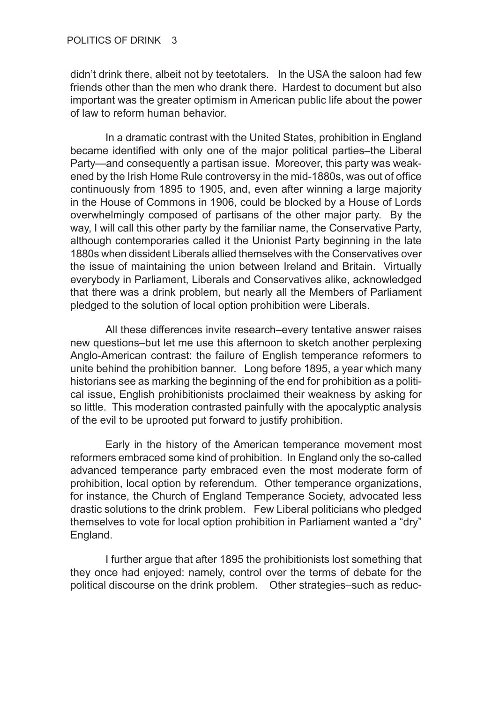didn't drink there, albeit not by teetotalers. In the USA the saloon had few friends other than the men who drank there. Hardest to document but also important was the greater optimism in American public life about the power of law to reform human behavior.

In a dramatic contrast with the United States, prohibition in England became identified with only one of the major political parties–the Liberal Party—and consequently a partisan issue. Moreover, this party was weakened by the Irish Home Rule controversy in the mid-1880s, was out of office continuously from 1895 to 1905, and, even after winning a large majority in the House of Commons in 1906, could be blocked by a House of Lords overwhelmingly composed of partisans of the other major party. By the way, I will call this other party by the familiar name, the Conservative Party, although contemporaries called it the Unionist Party beginning in the late 1880s when dissident Liberals allied themselves with the Conservatives over the issue of maintaining the union between Ireland and Britain. Virtually everybody in Parliament, Liberals and Conservatives alike, acknowledged that there was a drink problem, but nearly all the Members of Parliament pledged to the solution of local option prohibition were Liberals.

All these differences invite research–every tentative answer raises new questions–but let me use this afternoon to sketch another perplexing Anglo-American contrast: the failure of English temperance reformers to unite behind the prohibition banner. Long before 1895, a year which many historians see as marking the beginning of the end for prohibition as a political issue, English prohibitionists proclaimed their weakness by asking for so little. This moderation contrasted painfully with the apocalyptic analysis of the evil to be uprooted put forward to justify prohibition.

Early in the history of the American temperance movement most reformers embraced some kind of prohibition. In England only the so-called advanced temperance party embraced even the most moderate form of prohibition, local option by referendum. Other temperance organizations, for instance, the Church of England Temperance Society, advocated less drastic solutions to the drink problem. Few Liberal politicians who pledged themselves to vote for local option prohibition in Parliament wanted a "dry" England.

I further argue that after 1895 the prohibitionists lost something that they once had enjoyed: namely, control over the terms of debate for the political discourse on the drink problem. Other strategies–such as reduc-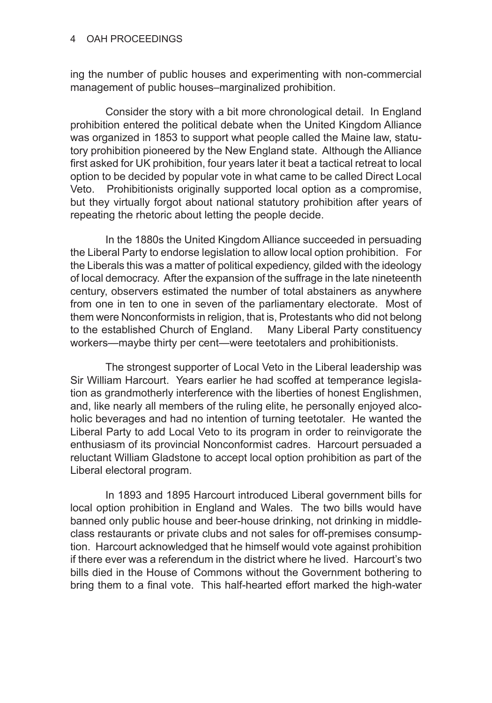#### OAH PROCEEDINGS

ing the number of public houses and experimenting with non-commercial management of public houses–marginalized prohibition.

Consider the story with a bit more chronological detail. In England prohibition entered the political debate when the United Kingdom Alliance was organized in 1853 to support what people called the Maine law, statutory prohibition pioneered by the New England state. Although the Alliance first asked for UK prohibition, four years later it beat a tactical retreat to local option to be decided by popular vote in what came to be called Direct Local Veto. Prohibitionists originally supported local option as a compromise, but they virtually forgot about national statutory prohibition after years of repeating the rhetoric about letting the people decide.

In the 1880s the United Kingdom Alliance succeeded in persuading the Liberal Party to endorse legislation to allow local option prohibition. For the Liberals this was a matter of political expediency, gilded with the ideology of local democracy. After the expansion of the suffrage in the late nineteenth century, observers estimated the number of total abstainers as anywhere from one in ten to one in seven of the parliamentary electorate. Most of them were Nonconformists in religion, that is, Protestants who did not belong to the established Church of England. Many Liberal Party constituency workers—maybe thirty per cent—were teetotalers and prohibitionists.

The strongest supporter of Local Veto in the Liberal leadership was Sir William Harcourt. Years earlier he had scoffed at temperance legislation as grandmotherly interference with the liberties of honest Englishmen, and, like nearly all members of the ruling elite, he personally enjoyed alcoholic beverages and had no intention of turning teetotaler. He wanted the Liberal Party to add Local Veto to its program in order to reinvigorate the enthusiasm of its provincial Nonconformist cadres. Harcourt persuaded a reluctant William Gladstone to accept local option prohibition as part of the Liberal electoral program.

In 1893 and 1895 Harcourt introduced Liberal government bills for local option prohibition in England and Wales. The two bills would have banned only public house and beer-house drinking, not drinking in middleclass restaurants or private clubs and not sales for off-premises consumption. Harcourt acknowledged that he himself would vote against prohibition if there ever was a referendum in the district where he lived. Harcourt's two bills died in the House of Commons without the Government bothering to bring them to a final vote. This half-hearted effort marked the high-water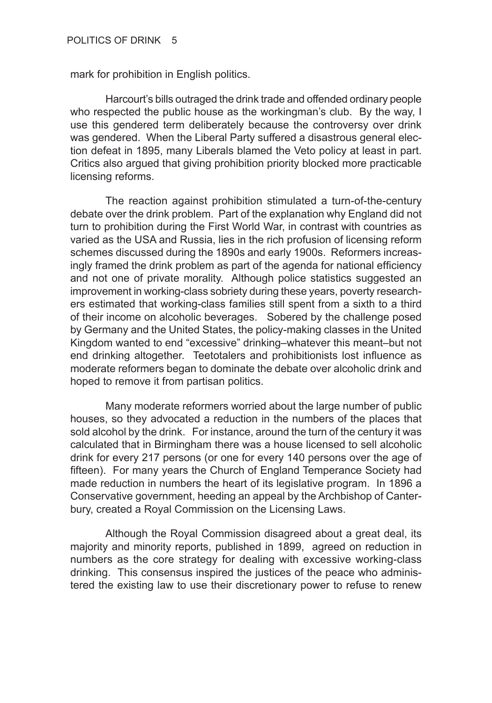mark for prohibition in English politics.

Harcourt's bills outraged the drink trade and offended ordinary people who respected the public house as the workingman's club. By the way, I use this gendered term deliberately because the controversy over drink was gendered. When the Liberal Party suffered a disastrous general election defeat in 1895, many Liberals blamed the Veto policy at least in part. Critics also argued that giving prohibition priority blocked more practicable licensing reforms.

The reaction against prohibition stimulated a turn-of-the-century debate over the drink problem. Part of the explanation why England did not turn to prohibition during the First World War, in contrast with countries as varied as the USA and Russia, lies in the rich profusion of licensing reform schemes discussed during the 1890s and early 1900s. Reformers increasingly framed the drink problem as part of the agenda for national efficiency and not one of private morality. Although police statistics suggested an improvement in working-class sobriety during these years, poverty researchers estimated that working-class families still spent from a sixth to a third of their income on alcoholic beverages. Sobered by the challenge posed by Germany and the United States, the policy-making classes in the United Kingdom wanted to end "excessive" drinking–whatever this meant–but not end drinking altogether. Teetotalers and prohibitionists lost influence as moderate reformers began to dominate the debate over alcoholic drink and hoped to remove it from partisan politics.

Many moderate reformers worried about the large number of public houses, so they advocated a reduction in the numbers of the places that sold alcohol by the drink. For instance, around the turn of the century it was calculated that in Birmingham there was a house licensed to sell alcoholic drink for every 217 persons (or one for every 140 persons over the age of fifteen). For many years the Church of England Temperance Society had made reduction in numbers the heart of its legislative program. In 1896 a Conservative government, heeding an appeal by the Archbishop of Canterbury, created a Royal Commission on the Licensing Laws.

Although the Royal Commission disagreed about a great deal, its majority and minority reports, published in 1899, agreed on reduction in numbers as the core strategy for dealing with excessive working-class drinking. This consensus inspired the justices of the peace who administered the existing law to use their discretionary power to refuse to renew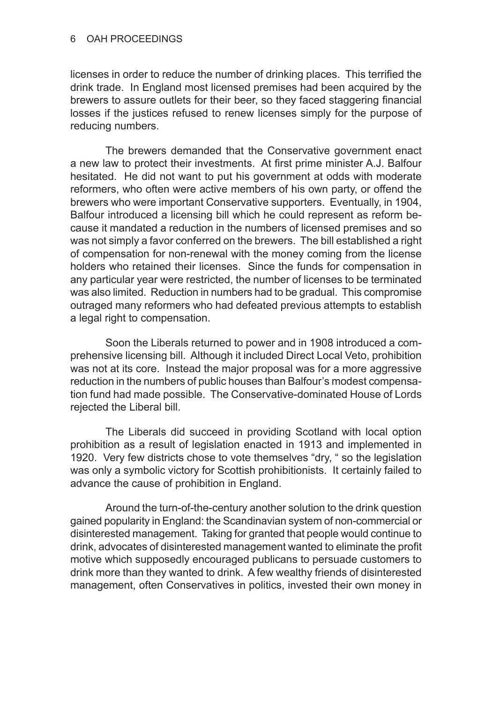licenses in order to reduce the number of drinking places. This terrified the drink trade. In England most licensed premises had been acquired by the brewers to assure outlets for their beer, so they faced staggering financial losses if the justices refused to renew licenses simply for the purpose of reducing numbers.

The brewers demanded that the Conservative government enact a new law to protect their investments. At first prime minister A.J. Balfour hesitated. He did not want to put his government at odds with moderate reformers, who often were active members of his own party, or offend the brewers who were important Conservative supporters. Eventually, in 1904, Balfour introduced a licensing bill which he could represent as reform because it mandated a reduction in the numbers of licensed premises and so was not simply a favor conferred on the brewers. The bill established a right of compensation for non-renewal with the money coming from the license holders who retained their licenses. Since the funds for compensation in any particular year were restricted, the number of licenses to be terminated was also limited. Reduction in numbers had to be gradual. This compromise outraged many reformers who had defeated previous attempts to establish a legal right to compensation.

Soon the Liberals returned to power and in 1908 introduced a comprehensive licensing bill. Although it included Direct Local Veto, prohibition was not at its core. Instead the major proposal was for a more aggressive reduction in the numbers of public houses than Balfour's modest compensation fund had made possible. The Conservative-dominated House of Lords rejected the Liberal bill.

The Liberals did succeed in providing Scotland with local option prohibition as a result of legislation enacted in 1913 and implemented in 1920. Very few districts chose to vote themselves "dry, " so the legislation was only a symbolic victory for Scottish prohibitionists. It certainly failed to advance the cause of prohibition in England.

Around the turn-of-the-century another solution to the drink question gained popularity in England: the Scandinavian system of non-commercial or disinterested management. Taking for granted that people would continue to drink, advocates of disinterested management wanted to eliminate the profit motive which supposedly encouraged publicans to persuade customers to drink more than they wanted to drink. A few wealthy friends of disinterested management, often Conservatives in politics, invested their own money in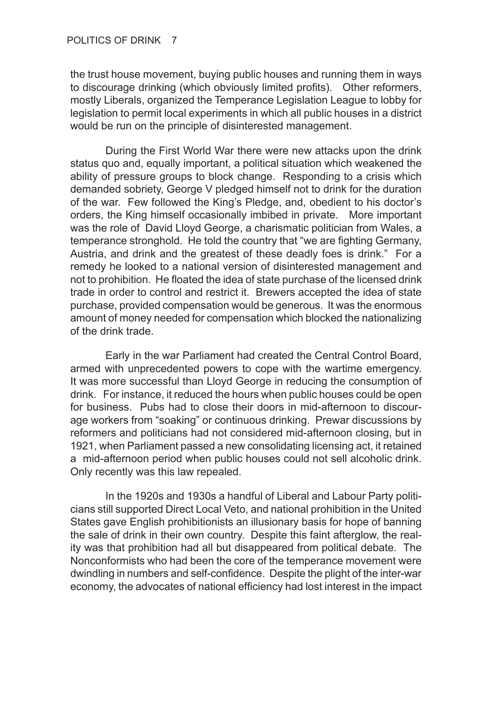the trust house movement, buying public houses and running them in ways to discourage drinking (which obviously limited profits). Other reformers, mostly Liberals, organized the Temperance Legislation League to lobby for legislation to permit local experiments in which all public houses in a district would be run on the principle of disinterested management.

During the First World War there were new attacks upon the drink status quo and, equally important, a political situation which weakened the ability of pressure groups to block change. Responding to a crisis which demanded sobriety, George V pledged himself not to drink for the duration of the war. Few followed the King's Pledge, and, obedient to his doctor's orders, the King himself occasionally imbibed in private. More important was the role of David Lloyd George, a charismatic politician from Wales, a temperance stronghold. He told the country that "we are fighting Germany, Austria, and drink and the greatest of these deadly foes is drink." For a remedy he looked to a national version of disinterested management and not to prohibition. He floated the idea of state purchase of the licensed drink trade in order to control and restrict it. Brewers accepted the idea of state purchase, provided compensation would be generous. It was the enormous amount of money needed for compensation which blocked the nationalizing of the drink trade.

Early in the war Parliament had created the Central Control Board, armed with unprecedented powers to cope with the wartime emergency. It was more successful than Lloyd George in reducing the consumption of drink. For instance, it reduced the hours when public houses could be open for business. Pubs had to close their doors in mid-afternoon to discourage workers from "soaking" or continuous drinking. Prewar discussions by reformers and politicians had not considered mid-afternoon closing, but in 1921, when Parliament passed a new consolidating licensing act, it retained a mid-afternoon period when public houses could not sell alcoholic drink. Only recently was this law repealed.

In the 1920s and 1930s a handful of Liberal and Labour Party politicians still supported Direct Local Veto, and national prohibition in the United States gave English prohibitionists an illusionary basis for hope of banning the sale of drink in their own country. Despite this faint afterglow, the reality was that prohibition had all but disappeared from political debate. The Nonconformists who had been the core of the temperance movement were dwindling in numbers and self-confidence. Despite the plight of the inter-war economy, the advocates of national efficiency had lost interest in the impact